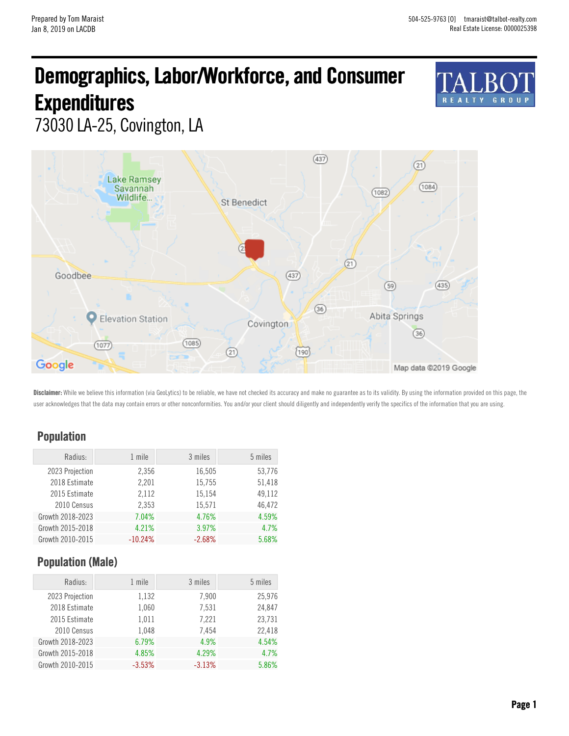# Demographics, Labor/Workforce, and Consumer **Expenditures**



73030 LA-25, Covington, LA



Disclaimer: While we believe this information (via GeoLytics) to be reliable, we have not checked its accuracy and make no guarantee as to its validity. By using the information provided on this page, the user acknowledges that the data may contain errors or other nonconformities. You and/or your client should diligently and independently verify the specifics of the information that you are using.

#### Population

| Radius:          | 1 mile    | 3 miles  | 5 miles |
|------------------|-----------|----------|---------|
| 2023 Projection  | 2,356     | 16,505   | 53,776  |
| 2018 Estimate    | 2,201     | 15,755   | 51,418  |
| 2015 Estimate    | 2,112     | 15,154   | 49.112  |
| 2010 Census      | 2,353     | 15,571   | 46.472  |
| Growth 2018-2023 | 7.04%     | 4.76%    | 4.59%   |
| Growth 2015-2018 | 4.21%     | 3.97%    | 4.7%    |
| Growth 2010-2015 | $-10.24%$ | $-2.68%$ | 5.68%   |

### Population (Male)

| Radius:          | 1 mile   | 3 miles  | 5 miles |
|------------------|----------|----------|---------|
| 2023 Projection  | 1,132    | 7,900    | 25,976  |
| 2018 Estimate    | 1,060    | 7,531    | 24,847  |
| 2015 Estimate    | 1,011    | 7.221    | 23,731  |
| 2010 Census      | 1,048    | 7.454    | 22,418  |
| Growth 2018-2023 | 6.79%    | 4.9%     | 4.54%   |
| Growth 2015-2018 | 4.85%    | 4.29%    | 4.7%    |
| Growth 2010-2015 | $-3.53%$ | $-3.13%$ | 5.86%   |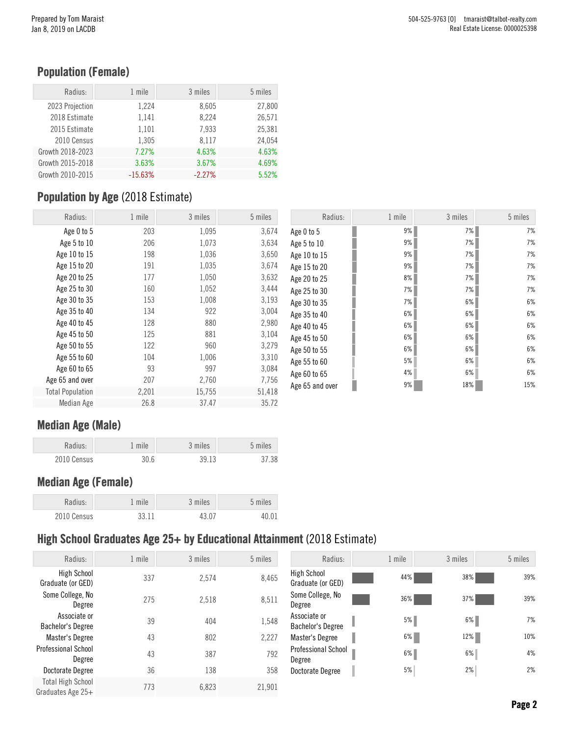### Population (Female)

| Radius:          | 1 mile    | 3 miles  | 5 miles |
|------------------|-----------|----------|---------|
| 2023 Projection  | 1,224     | 8,605    | 27,800  |
| 2018 Estimate    | 1,141     | 8,224    | 26,571  |
| 2015 Estimate    | 1,101     | 7,933    | 25,381  |
| 2010 Census      | 1,305     | 8.117    | 24.054  |
| Growth 2018-2023 | 7.27%     | 4.63%    | 4.63%   |
| Growth 2015-2018 | 3.63%     | 3.67%    | 4.69%   |
| Growth 2010-2015 | $-15.63%$ | $-2.27%$ | 5.52%   |

# Population by Age (2018 Estimate)

| Radius:                 | 1 mile | 3 miles | 5 miles | Radius:         | 1 mile  | 3 miles | 5 miles |
|-------------------------|--------|---------|---------|-----------------|---------|---------|---------|
| Age 0 to 5              | 203    | 1,095   | 3,674   | Age 0 to 5      | 9%      | 7%      | 7%      |
| Age 5 to 10             | 206    | 1,073   | 3,634   | Age 5 to 10     | 9%      | 7%      | 7%      |
| Age 10 to 15            | 198    | 1,036   | 3,650   | Age 10 to 15    | 9%      | 7%      | 7%      |
| Age 15 to 20            | 191    | 1,035   | 3,674   | Age 15 to 20    | 9%      | 7%      | 7%      |
| Age 20 to 25            | 177    | 1,050   | 3,632   | Age 20 to 25    | 8%      | 7%      | 7%      |
| Age 25 to 30            | 160    | 1,052   | 3,444   | Age 25 to 30    | 7%      | 7%      | 7%      |
| Age 30 to 35            | 153    | 1,008   | 3,193   | Age 30 to 35    | 7%      | 6%      | 6%      |
| Age 35 to 40            | 134    | 922     | 3,004   | Age 35 to 40    | 6%      | $6\%$   | 6%      |
| Age 40 to 45            | 128    | 880     | 2,980   | Age 40 to 45    | $6\%$   | 6%      | 6%      |
| Age 45 to 50            | 125    | 881     | 3,104   | Age 45 to 50    | 6%      | 6%      | 6%      |
| Age 50 to 55            | 122    | 960     | 3,279   | Age 50 to 55    | 6%      | 6%      | 6%      |
| Age 55 to 60            | 104    | 1,006   | 3,310   | Age 55 to 60    | 5%      | 6%      | 6%      |
| Age 60 to 65            | 93     | 997     | 3,084   | Age 60 to 65    | 4%      | 6%      | 6%      |
| Age 65 and over         | 207    | 2,760   | 7,756   | Age 65 and over | ı<br>9% | 18%     | 15%     |
| <b>Total Population</b> | 2,201  | 15,755  | 51,418  |                 |         |         |         |
| Median Age              | 26.8   | 37.47   | 35.72   |                 |         |         |         |

#### Median Age (Male)

| Radius:     | 1 mile | 3 miles | 5 miles |
|-------------|--------|---------|---------|
| 2010 Census | 30.6   | 39.13   | 37.38   |

### Median Age (Female)

| Radius:     | 1 mile | 3 miles | 5 miles |
|-------------|--------|---------|---------|
| 2010 Census | 33.11  | 43.07   | 40.01   |

### High School Graduates Age 25+ by Educational Attainment (2018 Estimate)

| Radius:                                       | 1 mile | 3 miles | 5 miles | Radius:                           | 1 mile | 3 miles | 5 miles |
|-----------------------------------------------|--------|---------|---------|-----------------------------------|--------|---------|---------|
| <b>High School</b><br>Graduate (or GED)       | 337    | 2,574   | 8,465   | High School<br>Graduate (or GED)  | 44%    | 38%     | 39%     |
| Some College, No<br>Degree                    | 275    | 2,518   | 8,511   | Some College, No<br>Degree        | 36%    | 37%     | 39%     |
| Associate or<br><b>Bachelor's Degree</b>      | 39     | 404     | 1,548   | Associate or<br>Bachelor's Degree | $5\%$  | $6\%$   | 7%      |
| Master's Degree                               | 43     | 802     | 2,227   | Master's Degree                   | 6%     | 12%     | 10%     |
| Professional School<br>Degree                 | 43     | 387     | 792     | Professional School<br>Degree     | $6\%$  | 6%      | 4%      |
| Doctorate Degree                              | 36     | 138     | 358     | Doctorate Degree                  | 5%     | 2%      | 2%      |
| <b>Total High School</b><br>Graduates Age 25+ | 773    | 6,823   | 21,901  |                                   |        |         |         |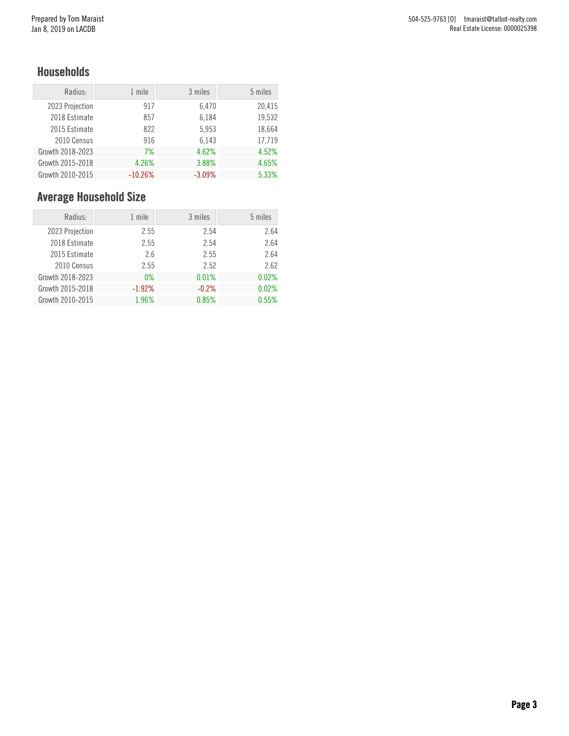#### Households

| Radius:          | 1 mile    | 3 miles  | 5 miles |
|------------------|-----------|----------|---------|
| 2023 Projection  | 917       | 6,470    | 20,415  |
| 2018 Estimate    | 857       | 6,184    | 19,532  |
| 2015 Estimate    | 822       | 5,953    | 18,664  |
| 2010 Census      | 916       | 6,143    | 17,719  |
| Growth 2018-2023 | 7%        | 4.62%    | 4.52%   |
| Growth 2015-2018 | 4.26%     | 3.88%    | 4.65%   |
| Growth 2010-2015 | $-10.26%$ | $-3.09%$ | 5.33%   |

# Average Household Size

| Radius:          | 1 mile   | 3 miles | 5 miles |
|------------------|----------|---------|---------|
| 2023 Projection  | 2.55     | 2.54    | 2.64    |
| 2018 Estimate    | 2.55     | 2.54    | 2.64    |
| 2015 Estimate    | 2.6      | 2.55    | 2.64    |
| 2010 Census      | 2.55     | 2.52    | 2.62    |
| Growth 2018-2023 | $0\%$    | 0.01%   | 0.02%   |
| Growth 2015-2018 | $-1.92%$ | $-0.2%$ | 0.02%   |
| Growth 2010-2015 | 1.96%    | 0.85%   | 0.55%   |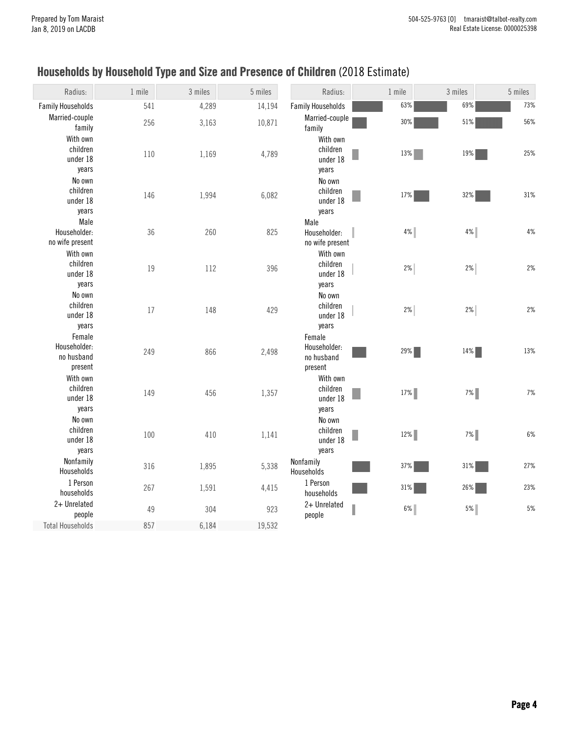# Households by Household Type and Size and Presence of Children (2018 Estimate)

| Radius:                                         | 1 mile | 3 miles | 5 miles | Radius:                                         | 1 mile | 3 miles | 5 miles |
|-------------------------------------------------|--------|---------|---------|-------------------------------------------------|--------|---------|---------|
| <b>Family Households</b>                        | 541    | 4,289   | 14,194  | <b>Family Households</b>                        | 63%    | 69%     | 73%     |
| Married-couple<br>family                        | 256    | 3,163   | 10,871  | Married-couple<br>family                        | 30%    | 51%     | 56%     |
| With own<br>children<br>under 18<br>years       | 110    | 1,169   | 4,789   | With own<br>children<br>under 18<br>years       | 13%    | $19\%$  | 25%     |
| No own<br>children<br>under 18<br>years         | 146    | 1,994   | 6,082   | No own<br>children<br>under 18<br>years         | 17%    | 32%     | 31%     |
| Male<br>Householder:<br>no wife present         | 36     | 260     | 825     | Male<br>Householder:<br>no wife present         | 4%     | 4%      | $4\%$   |
| With own<br>children<br>under 18<br>years       | 19     | 112     | 396     | With own<br>children<br>under 18<br>years       | $2\%$  | 2%      | 2%      |
| No own<br>children<br>under 18<br>years         | 17     | 148     | 429     | No own<br>children<br>under 18<br>years         | 2%     | 2%      | 2%      |
| Female<br>Householder:<br>no husband<br>present | 249    | 866     | 2,498   | Female<br>Householder:<br>no husband<br>present | 29%    | 14%     | 13%     |
| With own<br>children<br>under 18<br>years       | 149    | 456     | 1,357   | With own<br>children<br>under 18<br>years       | $17\%$ | $7\%$   | 7%      |
| No own<br>children<br>under 18<br>years         | 100    | 410     | 1,141   | No own<br>children<br>under 18<br>years         | $12\%$ | $7\%$   | $6\%$   |
| Nonfamily<br>Households                         | 316    | 1,895   | 5,338   | Nonfamily<br>Households                         | 37%    | 31%     | 27%     |
| 1 Person<br>households                          | 267    | 1,591   | 4,415   | 1 Person<br>households                          | 31%    | 26%     | 23%     |
| 2+ Unrelated<br>people                          | 49     | 304     | 923     | 2+ Unrelated<br>people                          | $6\%$  | $5\%$   | $5%$    |
| <b>Total Households</b>                         | 857    | 6,184   | 19,532  |                                                 |        |         |         |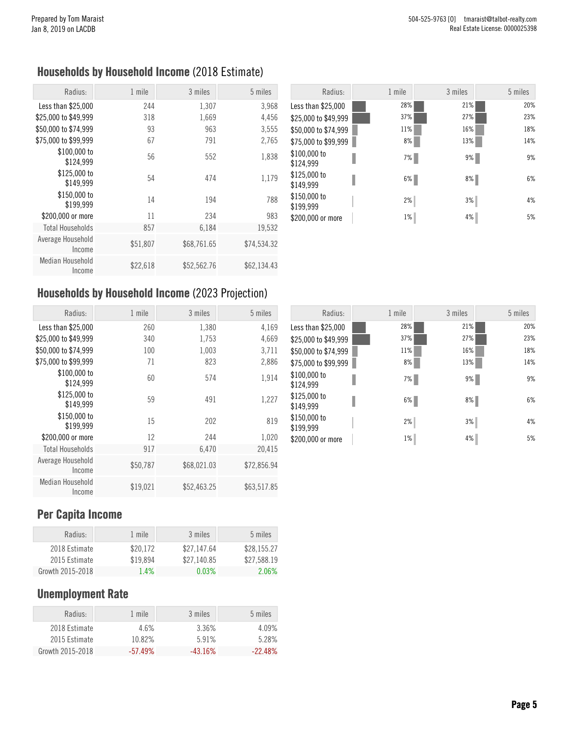### Households by Household Income (2018 Estimate)

| Radius:                     | 1 mile   | 3 miles     | 5 miles     |
|-----------------------------|----------|-------------|-------------|
| Less than \$25,000          | 244      | 1,307       | 3,968       |
| \$25,000 to \$49,999        | 318      | 1,669       | 4,456       |
| \$50,000 to \$74,999        | 93       | 963         | 3,555       |
| \$75,000 to \$99,999        | 67       | 791         | 2,765       |
| \$100,000 to<br>\$124,999   | 56       | 552         | 1,838       |
| \$125,000 to<br>\$149.999   | 54       | 474         | 1,179       |
| \$150,000 to<br>\$199,999   | 14       | 194         | 788         |
| \$200,000 or more           | 11       | 234         | 983         |
| <b>Total Households</b>     | 857      | 6,184       | 19,532      |
| Average Household<br>Income | \$51,807 | \$68,761.65 | \$74,534.32 |
| Median Household<br>Income  | \$22,618 | \$52,562.76 | \$62,134.43 |

| Radius:                   | 1 mile | 3 miles | 5 miles |
|---------------------------|--------|---------|---------|
| Less than \$25,000        | 28%    | 21%     | 20%     |
| \$25,000 to \$49,999      | 37%    | 27%     | 23%     |
| \$50,000 to \$74,999      | 11%    | 16%     | 18%     |
| \$75,000 to \$99,999      | 8%     | 13%     | 14%     |
| \$100,000 to<br>\$124,999 | 7%     | 9%      | 9%      |
| \$125,000 to<br>\$149,999 | 6%     | 8%      | 6%      |
| \$150,000 to<br>\$199,999 | 2%     | 3%      | 4%      |
| \$200,000 or more         | $1\%$  | 4%      | 5%      |

### Households by Household Income (2023 Projection)

| Radius:                     | 1 mile   | 3 miles     | 5 miles     |
|-----------------------------|----------|-------------|-------------|
| Less than \$25,000          | 260      | 1,380       | 4,169       |
| \$25,000 to \$49,999        | 340      | 1,753       | 4,669       |
| \$50,000 to \$74,999        | 100      | 1,003       | 3,711       |
| \$75,000 to \$99,999        | 71       | 823         | 2,886       |
| \$100,000 to<br>\$124,999   | 60       | 574         | 1,914       |
| \$125,000 to<br>\$149,999   | 59       | 491         | 1,227       |
| \$150,000 to<br>\$199,999   | 15       | 202         | 819         |
| \$200,000 or more           | 12       | 244         | 1,020       |
| <b>Total Households</b>     | 917      | 6,470       | 20,415      |
| Average Household<br>Income | \$50,787 | \$68,021.03 | \$72,856.94 |
| Median Household<br>Income  | \$19,021 | \$52,463.25 | \$63,517.85 |

| Radius:                   | 1 mile | 3 miles | 5 miles |
|---------------------------|--------|---------|---------|
| Less than \$25,000        | 28%    | 21%     | 20%     |
| \$25,000 to \$49,999      | 37%    | 27%     | 23%     |
| \$50,000 to \$74,999      | 11%    | 16%     | 18%     |
| \$75,000 to \$99,999      | 8%     | 13%     | 14%     |
| \$100,000 to<br>\$124,999 | 7%     | 9%      | 9%      |
| \$125,000 to<br>\$149,999 | 6%     | 8%      | 6%      |
| \$150,000 to<br>\$199,999 | 2%     | 3%      | 4%      |
| \$200,000 or more         | $1\%$  | 4%      | 5%      |

### Per Capita Income

| Radius:          | 1 mile   | 3 miles     | 5 miles     |
|------------------|----------|-------------|-------------|
| 2018 Estimate    | \$20.172 | \$27.147.64 | \$28.155.27 |
| 2015 Estimate    | \$19.894 | \$27.140.85 | \$27.588.19 |
| Growth 2015-2018 | 1.4%     | 0.03%       | 2.06%       |

### Unemployment Rate

| Radius:          | 1 mile     | 3 miles    | 5 miles   |
|------------------|------------|------------|-----------|
| 2018 Estimate    | 4.6%       | 3.36%      | $4.09\%$  |
| 2015 Estimate    | 10.82%     | 5.91%      | 5.28%     |
| Growth 2015-2018 | $-57.49\%$ | $-43.16\%$ | $-22.48%$ |